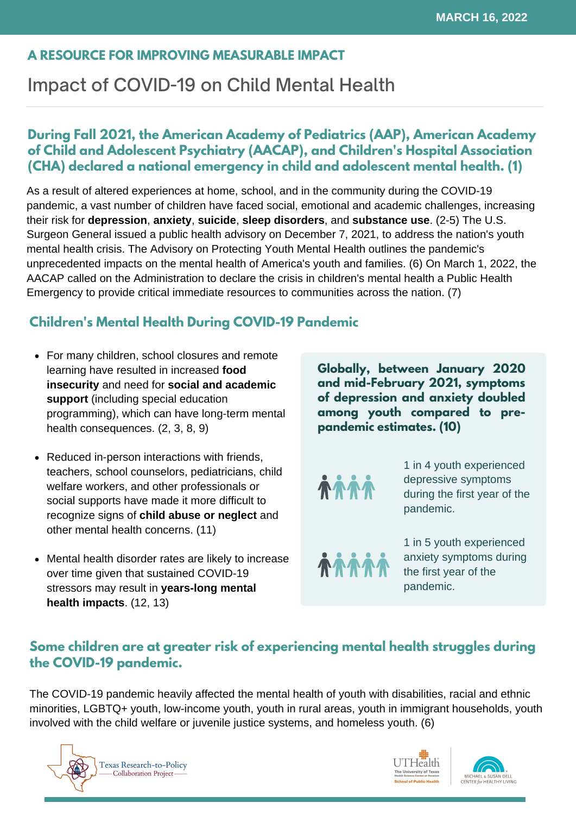#### **A RESOURCE FOR IMPROVING MEASURABLE IMPACT**

## Impact of COVID-19 on Child Mental Health

### **During Fall 2021, the American Academy of Pediatrics (AAP), American Academy of Child and Adolescent Psychiatry (AACAP), and Children's Hospital Association (CHA) declared a national emergency in child and adolescent mental health. (1)**

As a result of altered experiences at home, school, and in the community during the COVID-19 pandemic, a vast number of children have faced social, emotional and academic challenges, increasing their risk for **depression**, **anxiety**, **suicide**, **sleep disorders**, and **substance use**. (2-5) The U.S. Surgeon General issued a public health advisory on December 7, 2021, to address the nation's youth mental health crisis. The Advisory on Protecting Youth Mental Health outlines the pandemic's unprecedented impacts on the mental health of America's youth and families. (6) On March 1, 2022, the AACAP called on the Administration to declare the crisis in children's mental health a Public Health Emergency to provide critical immediate resources to communities across the nation. (7)

## **Children's Mental Health During COVID-19 Pandemic**

- For many children, school closures and remote learning have resulted in increased **food insecurity** and need for **social and academic support** (including special education programming), which can have long-term mental health consequences. (2, 3, 8, 9)
- Reduced in-person interactions with friends, teachers, school counselors, pediatricians, child welfare workers, and other professionals or social supports have made it more difficult to recognize signs of **child abuse or neglect** and other mental health concerns. (11)
- Mental health disorder rates are likely to increase over time given that sustained COVID-19 stressors may result in **years-long mental health impacts**. (12, 13)

**Globally, between January 2020 and mid-February 2021, symptoms of depression and anxiety doubled among youth compared to prepandemic estimates. (10)**



1 in 4 youth experienced depressive symptoms during the first year of the pandemic.

**AAA** 

1 in 5 youth experienced anxiety symptoms during the first year of the pandemic.

## **Some children are at greater risk of experiencing mental health struggles during the COVID-19 pandemic.**

The COVID-19 pandemic heavily affected the mental health of youth with disabilities, racial and ethnic minorities, LGBTQ+ youth, low-income youth, youth in rural areas, youth in immigrant households, youth involved with the child welfare or juvenile justice systems, and homeless youth. (6)





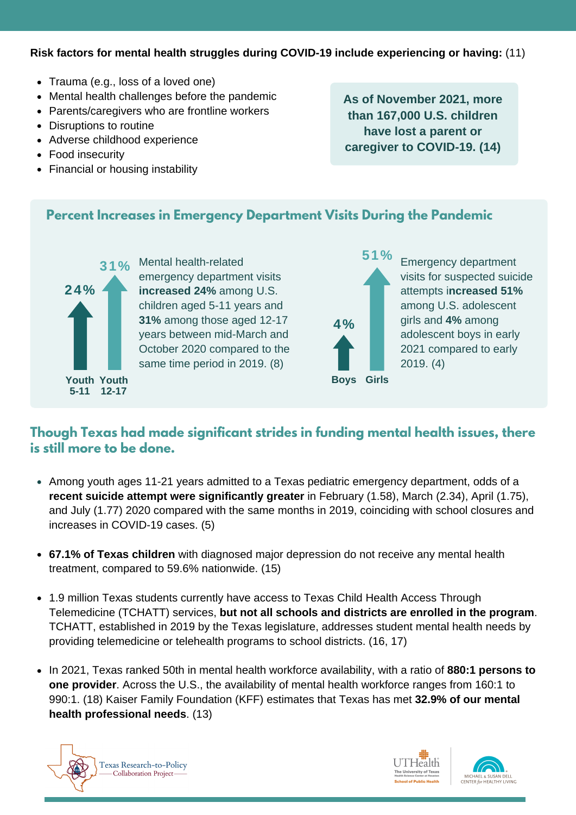#### **Risk factors for mental health struggles during COVID-19 include experiencing or having:** (11)

- Trauma (e.g., loss of a loved one)
- Mental health challenges before the pandemic
- Parents/caregivers who are frontline workers
- Disruptions to routine
- Adverse childhood experience
- Food insecuritv
- Financial or housing instability

**As of November 2021, more than 167,000 U.S. children have lost a parent or caregiver to COVID-19. (14)**

#### **Percent Increases in Emergency Department Visits During the Pandemic**



Mental health-related emergency department visits **increased 24%** among U.S. children aged 5-11 years and **31%** among those aged 12-17 years between mid-March and October 2020 compared to the same time period in 2019. (8)



**31%** Mental health-related **1999** Emergency department visits for suspected suicide attempts i**ncreased 51%** among U.S. adolescent girls and **4%** among adolescent boys in early 2021 compared to early 2019. (4)

## **Though Texas had made significant strides in funding mental health issues, there is still more to be done.**

- Among youth ages 11-21 years admitted to a Texas pediatric emergency department, odds of a **recent suicide attempt were significantly greater** in February (1.58), March (2.34), April (1.75), and July (1.77) 2020 compared with the same months in 2019, coinciding with school closures and increases in COVID-19 cases. (5)
- **67.1% of Texas children** with diagnosed major depression do not receive any mental health treatment, compared to 59.6% nationwide. (15)
- 1.9 million Texas students currently have access to Texas Child Health Access Through Telemedicine (TCHATT) services, **but not all schools and districts are enrolled in the program**. TCHATT, established in 2019 by the Texas legislature, addresses student mental health needs by providing telemedicine or telehealth programs to school districts. (16, 17)
- In 2021, Texas ranked 50th in mental health workforce availability, with a ratio of **880:1 persons to one provider**. Across the U.S., the availability of mental health workforce ranges from 160:1 to 990:1. (18) Kaiser Family Foundation (KFF) estimates that Texas has met **32.9% of our mental health professional needs**. (13)





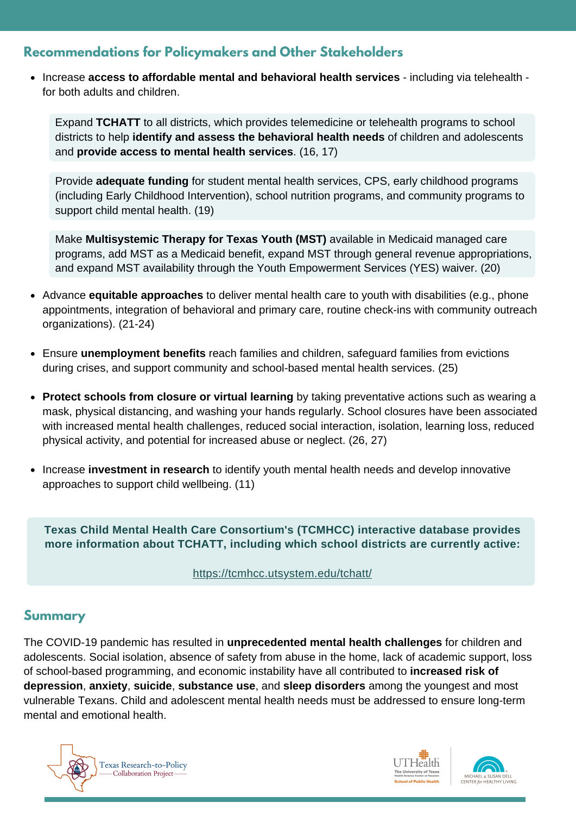## **Recommendations for Policymakers and Other Stakeholders**

Increase **access to affordable mental and behavioral health services** - including via telehealth for both adults and children.

Expand **TCHATT** to all districts, which provides telemedicine or telehealth programs to school districts to help **identify and assess the behavioral health needs** of children and adolescents and **provide access to mental health services**. (16, 17)

Provide **adequate funding** for student mental health services, CPS, early childhood programs (including Early Childhood Intervention), school nutrition programs, and community programs to support child mental health. (19)

Make **Multisystemic Therapy for Texas Youth (MST)** available in Medicaid managed care programs, add MST as a Medicaid benefit, expand MST through general revenue appropriations, and expand MST availability through the Youth Empowerment Services (YES) waiver. (20)

- Advance **equitable approaches** to deliver mental health care to youth with disabilities (e.g., phone appointments, integration of behavioral and primary care, routine check-ins with community outreach organizations). (21-24)
- Ensure **unemployment benefits** reach families and children, safeguard families from evictions during crises, and support community and school-based mental health services. (25)
- **Protect schools from closure or virtual learning** by taking preventative actions such as wearing a mask, physical distancing, and washing your hands regularly. School closures have been associated with increased mental health challenges, reduced social interaction, isolation, learning loss, reduced physical activity, and potential for increased abuse or neglect. (26, 27)
- Increase **investment in research** to identify youth mental health needs and develop innovative approaches to support child wellbeing. (11)

**Texas Child Mental Health Care Consortium's (TCMHCC) interactive database provides more information about TCHATT, including which school districts are currently active:**

<https://tcmhcc.utsystem.edu/tchatt/>

#### **Summary**

The COVID-19 pandemic has resulted in **unprecedented mental health challenges** for children and adolescents. Social isolation, absence of safety from abuse in the home, lack of academic support, loss of school-based programming, and economic instability have all contributed to **increased risk of depression**, **anxiety**, **suicide**, **substance use**, and **sleep disorders** among the youngest and most vulnerable Texans. Child and adolescent mental health needs must be addressed to ensure long-term mental and emotional health.





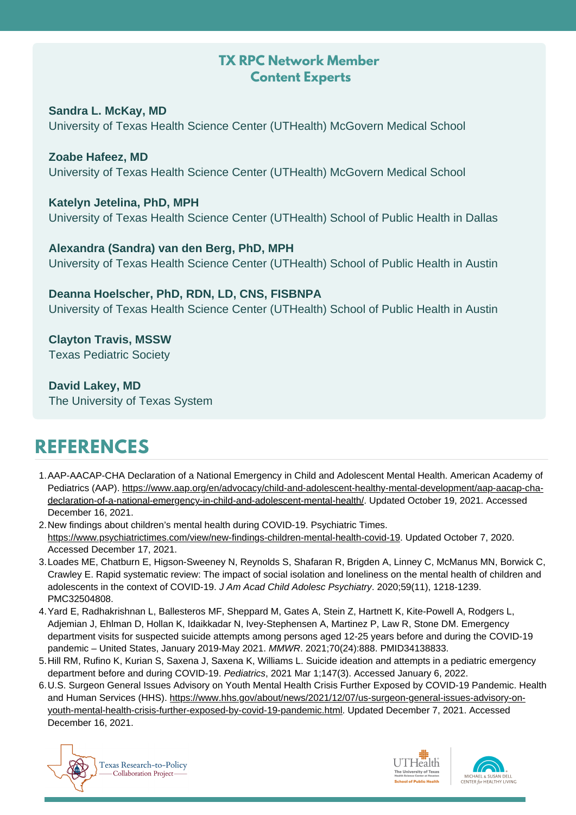## **TX RPC Network Member Content Experts**

**Sandra L. McKay, MD** University of Texas Health Science Center (UTHealth) McGovern Medical School

**Zoabe Hafeez, MD** University of Texas Health Science Center (UTHealth) McGovern Medical School

#### **Katelyn Jetelina, PhD, MPH**

University of Texas Health Science Center (UTHealth) School of Public Health in Dallas

**Alexandra (Sandra) van den Berg, PhD, MPH** University of Texas Health Science Center (UTHealth) School of Public Health in Austin

**Deanna Hoelscher, PhD, RDN, LD, CNS, FISBNPA** University of Texas Health Science Center (UTHealth) School of Public Health in Austin

**Clayton Travis, MSSW** Texas Pediatric Society

**David Lakey, MD** The University of Texas System

# **REFERENCES**

- AAP-AACAP-CHA Declaration of a National Emergency in Child and Adolescent Mental Health. American Academy of 1. Pediatrics (AAP). [https://www.aap.org/en/advocacy/child-and-adolescent-healthy-mental-development/aap-aacap-cha](https://www.aap.org/en/advocacy/child-and-adolescent-healthy-mental-development/aap-aacap-cha-declaration-of-a-national-emergency-in-child-and-adolescent-mental-health/)declaration-of-a-national-emergency-in-child-and-adolescent-mental-health/. Updated October 19, 2021. Accessed December 16, 2021.
- 2. New findings about children's mental health during COVID-19. Psychiatric Times. [https://www.psychiatrictimes.com/view/new-findings-children-mental-health-covid-19.](https://www.psychiatrictimes.com/view/new-findings-children-mental-health-covid-19) Updated October 7, 2020. Accessed December 17, 2021.
- Loades ME, Chatburn E, Higson-Sweeney N, Reynolds S, Shafaran R, Brigden A, Linney C, McManus MN, Borwick C, 3. Crawley E. Rapid systematic review: The impact of social isolation and loneliness on the mental health of children and adolescents in the context of COVID-19. *J Am Acad Child Adolesc Psychiatry*. 2020;59(11), 1218-1239. PMC32504808.
- 4. Yard E, Radhakrishnan L, Ballesteros MF, Sheppard M, Gates A, Stein Z, Hartnett K, Kite-Powell A, Rodgers L, Adjemian J, Ehlman D, Hollan K, Idaikkadar N, Ivey-Stephensen A, Martinez P, Law R, Stone DM. Emergency department visits for suspected suicide attempts among persons aged 12-25 years before and during the COVID-19 pandemic – United States, January 2019-May 2021. *MMWR*. 2021;70(24):888. PMID34138833.
- 5.Hill RM, Rufino K, Kurian S, Saxena J, Saxena K, Williams L. Suicide ideation and attempts in a pediatric emergency department before and during COVID-19. *Pediatrics*, 2021 Mar 1;147(3). Accessed January 6, 2022.
- 6.U.S. Surgeon General Issues Advisory on Youth Mental Health Crisis Further Exposed by COVID-19 Pandemic. Health and Human Services (HHS). [https://www.hhs.gov/about/news/2021/12/07/us-surgeon-general-issues-advisory-on](https://www.hhs.gov/about/news/2021/12/07/us-surgeon-general-issues-advisory-on-youth-mental-health-crisis-further-exposed-by-covid-19-pandemic.html)youth-mental-health-crisis-further-exposed-by-covid-19-pandemic.html. Updated December 7, 2021. Accessed December 16, 2021.